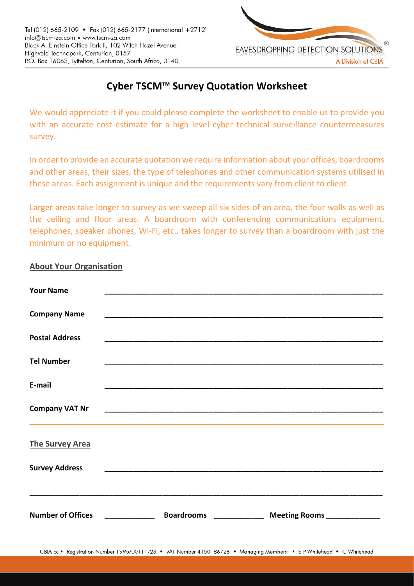

## **Cyber TSCM™ Survey Quotation Worksheet**

We would appreciate it if you could please complete the worksheet to enable us to provide you with an accurate cost estimate for a high level cyber technical surveillance countermeasures survey.

In order to provide an accurate quotation we require information about your offices, boardrooms and other areas, their sizes, the type of telephones and other communication systems utilised in these areas. Each assignment is unique and the requirements vary from client to client.

Larger areas take longer to survey as we sweep all six sides of an area, the four walls as well as the ceiling and floor areas. A boardroom with conferencing communications equipment, telephones, speaker phones, Wi‐Fi, etc., takes longer to survey than a boardroom with just the minimum or no equipment.

## **About Your Organisation**

| <b>Your Name</b>         |                                 |  |  |
|--------------------------|---------------------------------|--|--|
| <b>Company Name</b>      |                                 |  |  |
| <b>Postal Address</b>    |                                 |  |  |
| <b>Tel Number</b>        |                                 |  |  |
| E-mail                   |                                 |  |  |
| <b>Company VAT Nr</b>    |                                 |  |  |
| <b>The Survey Area</b>   |                                 |  |  |
| <b>Survey Address</b>    |                                 |  |  |
|                          |                                 |  |  |
| <b>Number of Offices</b> | <b>Boardrooms Exercise 2006</b> |  |  |